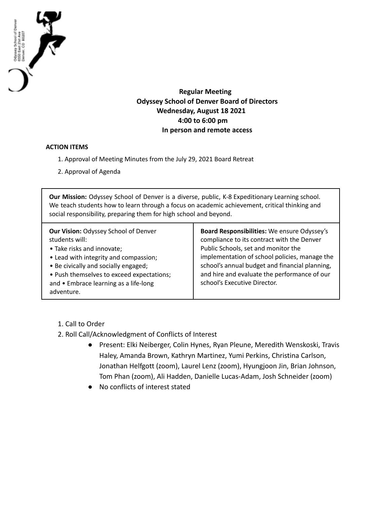

**Regular Meeting Odyssey School of Denver Board of Directors Wednesday, August 18 2021 4:00 to 6:00 pm In person and remote access**

## **ACTION ITEMS**

- 1. Approval of Meeting Minutes from the July 29, 2021 Board Retreat
- 2. Approval of Agenda

**Our Mission:** Odyssey School of Denver is a diverse, public, K-8 Expeditionary Learning school. We teach students how to learn through a focus on academic achievement, critical thinking and social responsibility, preparing them for high school and beyond.

1. Call to Order

- 2. Roll Call/Acknowledgment of Conflicts of Interest
	- Present: Elki Neiberger, Colin Hynes, Ryan Pleune, Meredith Wenskoski, Travis Haley, Amanda Brown, Kathryn Martinez, Yumi Perkins, Christina Carlson, Jonathan Helfgott (zoom), Laurel Lenz (zoom), Hyungjoon Jin, Brian Johnson, Tom Phan (zoom), Ali Hadden, Danielle Lucas-Adam, Josh Schneider (zoom)
	- No conflicts of interest stated